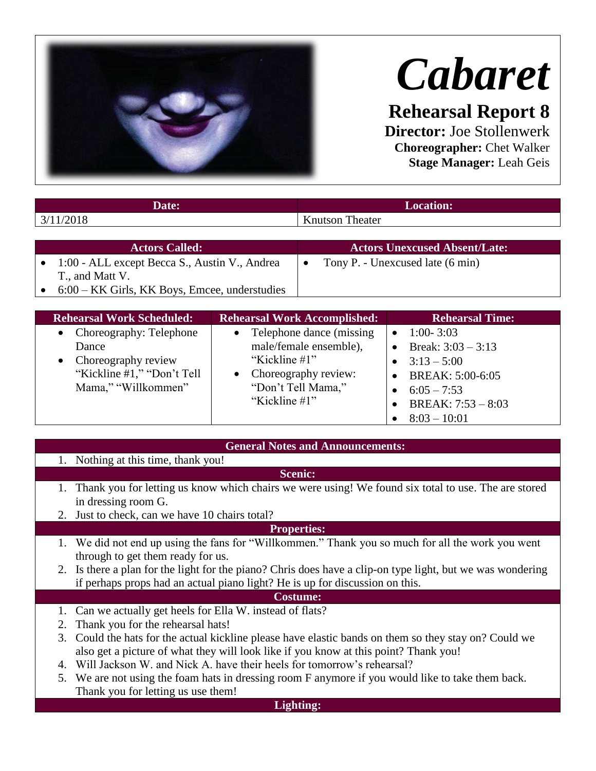

# *Cabaret*

**Rehearsal Report 8 Director:** Joe Stollenwerk

**Choreographer:** Chet Walker **Stage Manager:** Leah Geis

|           | Date:                                           |                        | <b>Location:</b>                     |
|-----------|-------------------------------------------------|------------------------|--------------------------------------|
| 3/11/2018 |                                                 | <b>Knutson Theater</b> |                                      |
|           |                                                 |                        |                                      |
|           | <b>Actors Called:</b>                           |                        | <b>Actors Unexcused Absent/Late:</b> |
|           | 1:00 - ALL except Becca S., Austin V., Andrea   | $\bullet$              | Tony P. - Unexcused late (6 min)     |
|           | T., and Matt V.                                 |                        |                                      |
|           | $6:00$ – KK Girls, KK Boys, Emcee, understudies |                        |                                      |

| <b>Rehearsal Work Scheduled:</b>                                                                                 | <b>Rehearsal Work Accomplished:</b>                                                                                                                | <b>Rehearsal Time:</b>                                                                                                                               |
|------------------------------------------------------------------------------------------------------------------|----------------------------------------------------------------------------------------------------------------------------------------------------|------------------------------------------------------------------------------------------------------------------------------------------------------|
| • Choreography: Telephone<br>Dance<br>• Choreography review<br>"Kickline #1," "Don't Tell<br>Mama," "Willkommen" | Telephone dance (missing)<br>$\bullet$<br>male/female ensemble),<br>"Kickline #1"<br>• Choreography review:<br>"Don't Tell Mama,"<br>"Kickline #1" | $1:00 - 3:03$<br>$\bullet$<br>Break: $3:03 - 3:13$<br>$3:13 - 5:00$<br>BREAK: 5:00-6:05<br>• $6:05 - 7:53$<br>BREAK: $7:53 - 8:03$<br>$8:03 - 10:01$ |

## **General Notes and Announcements:**

- 1. Nothing at this time, thank you!
- **Scenic:**
- 1. Thank you for letting us know which chairs we were using! We found six total to use. The are stored in dressing room G.
- 2. Just to check, can we have 10 chairs total?

### **Properties:**

- 1. We did not end up using the fans for "Willkommen." Thank you so much for all the work you went through to get them ready for us.
- 2. Is there a plan for the light for the piano? Chris does have a clip-on type light, but we was wondering if perhaps props had an actual piano light? He is up for discussion on this.

## **Costume:**

- 1. Can we actually get heels for Ella W. instead of flats?
- 2. Thank you for the rehearsal hats!
- 3. Could the hats for the actual kickline please have elastic bands on them so they stay on? Could we also get a picture of what they will look like if you know at this point? Thank you!
- 4. Will Jackson W. and Nick A. have their heels for tomorrow's rehearsal?
- 5. We are not using the foam hats in dressing room F anymore if you would like to take them back. Thank you for letting us use them!

#### **Lighting:**